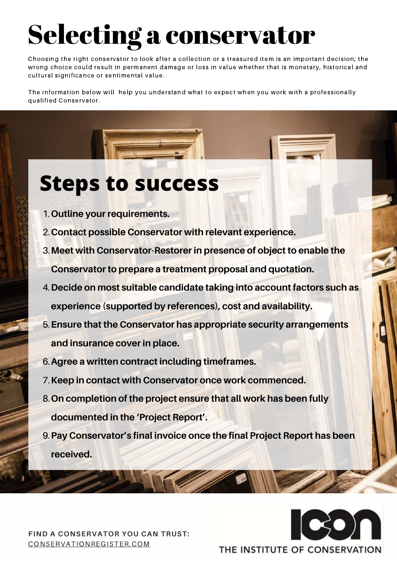- **Outline your requirements.** 1.
- **Contact possible Conservator with relevant experience.** 2.
- **Meet with Conservator-Restorer in presence of object to enable the** 3.
	- **Conservator to prepare a treatment proposal and quotation.**
- **Decide on most suitable candidate taking into account factors such as** 4.
	- **experience (supported by references), cost and availability.**
- **Ensure that the Conservator has appropriate security arrangements** 5. **and insurance cover in place.**
- **Agree a written contract including timeframes.** 6.
- **Keep in contact with Conservator once work commenced.** 7.
- **On completion of the project ensure that all work has been fully** 8. **documented in the 'Project Report' .**
- **Pay Conservator's final invoice once the final Project Report has been** 9. **received.**

# Selecting a conservator

### **FIND A CONSERVATOR YOU CAN TRUST:** [CONSERVATIONREGISTER.COM](https://www.conservationregister.com/)



## THE INSTITUTE OF CONSERVATION

# **Steps to success**

Choosing the right conservator to look after a collection or a treasured item is an important decision; the wrong choice could result in permanent damage or loss in value whether that is monetary, historical and cultural significance or sentimental value.

The information below will help you understand what to expect when you work with a professionally qualified Conservator.